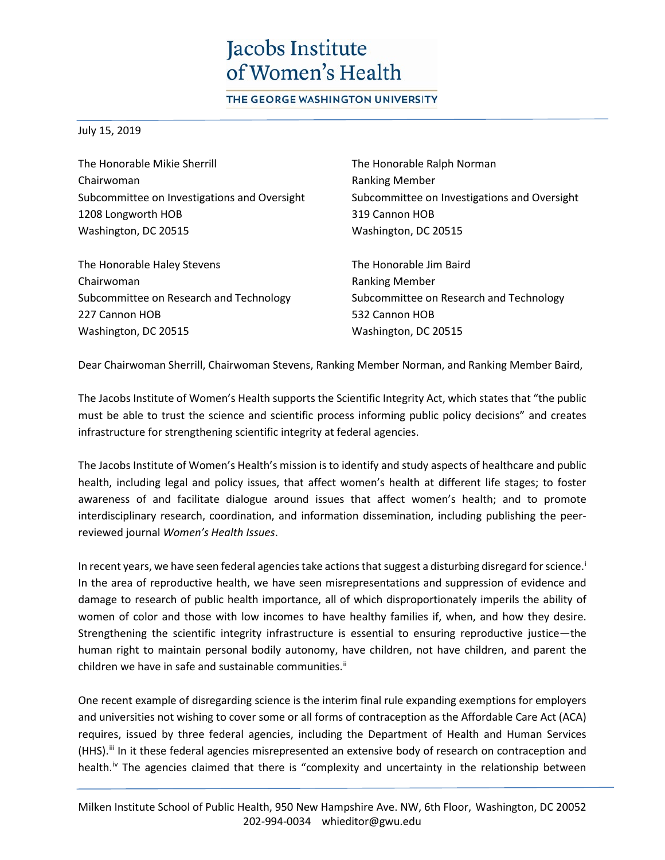## Jacobs Institute of Women's Health

THE GEORGE WASHINGTON UNIVERSITY

July 15, 2019

The Honorable Mikie Sherrill Chairwoman Subcommittee on Investigations and Oversight 1208 Longworth HOB Washington, DC 20515

The Honorable Haley Stevens Chairwoman Subcommittee on Research and Technology 227 Cannon HOB Washington, DC 20515

The Honorable Ralph Norman Ranking Member Subcommittee on Investigations and Oversight 319 Cannon HOB Washington, DC 20515

The Honorable Jim Baird Ranking Member Subcommittee on Research and Technology 532 Cannon HOB Washington, DC 20515

Dear Chairwoman Sherrill, Chairwoman Stevens, Ranking Member Norman, and Ranking Member Baird,

The Jacobs Institute of Women's Health supports the Scientific Integrity Act, which states that "the public must be able to trust the science and scientific process informing public policy decisions" and creates infrastructure for strengthening scientific integrity at federal agencies.

The Jacobs Institute of Women's Health's mission is to identify and study aspects of healthcare and public health, including legal and policy issues, that affect women's health at different life stages; to foster awareness of and facilitate dialogue around issues that affect women's health; and to promote interdisciplinary research, coordination, and information dissemination, including publishing the peerreviewed journal *Women's Health Issues*.

In recent years, we have seen federal agencies take actions that suggest a disturbing disregard for science.<sup>1</sup> In the area of reproductive health, we have seen misrepresentations and suppression of evidence and damage to research of public health importance, all of which disproportionately imperils the ability of women of color and those with low incomes to have healthy families if, when, and how they desire. Strengthening the scientific integrity infrastructure is essential to ensuring reproductive justice—the human right to maintain personal bodily autonomy, have children, not have children, and parent the children we have in safe and sustainable communities.<sup>[ii](#page-2-1)</sup>

One recent example of disregarding science is the interim final rule expanding exemptions for employers and universities not wishing to cover some or all forms of contraception as the Affordable Care Act (ACA) requires, issued by three federal agencies, including the Department of Health and Human Services (HHS).<sup>[iii](#page-2-2)</sup> In it these federal agencies misrepresented an extensive body of research on contraception and health.<sup>[iv](#page-2-3)</sup> The agencies claimed that there is "complexity and uncertainty in the relationship between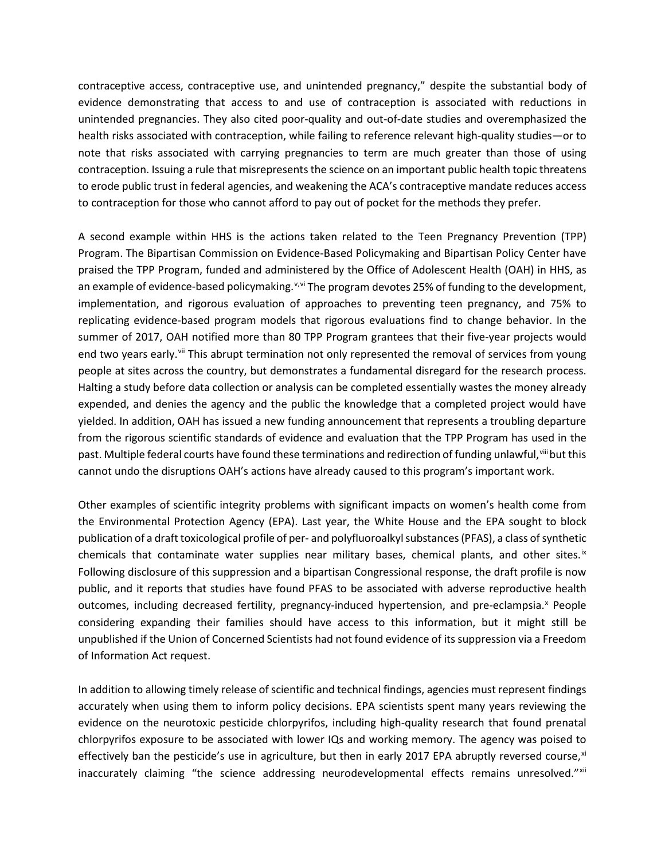contraceptive access, contraceptive use, and unintended pregnancy," despite the substantial body of evidence demonstrating that access to and use of contraception is associated with reductions in unintended pregnancies. They also cited poor-quality and out-of-date studies and overemphasized the health risks associated with contraception, while failing to reference relevant high-quality studies—or to note that risks associated with carrying pregnancies to term are much greater than those of using contraception. Issuing a rule that misrepresents the science on an important public health topic threatens to erode public trust in federal agencies, and weakening the ACA's contraceptive mandate reduces access to contraception for those who cannot afford to pay out of pocket for the methods they prefer.

A second example within HHS is the actions taken related to the Teen Pregnancy Prevention (TPP) Program. The Bipartisan Commission on Evidence-Based Policymaking and Bipartisan Policy Center have praised the TPP Program, funded and administered by the Office of Adolescent Health (OAH) in HHS, as an example of e[v](#page-2-4)idence-based policymaking.<sup>v,[vi](#page-2-5)</sup> The program devotes 25% of funding to the development, implementation, and rigorous evaluation of approaches to preventing teen pregnancy, and 75% to replicating evidence-based program models that rigorous evaluations find to change behavior. In the summer of 2017, OAH notified more than 80 TPP Program grantees that their five-year projects would end two years early.<sup>[vii](#page-2-6)</sup> This abrupt termination not only represented the removal of services from young people at sites across the country, but demonstrates a fundamental disregard for the research process. Halting a study before data collection or analysis can be completed essentially wastes the money already expended, and denies the agency and the public the knowledge that a completed project would have yielded. In addition, OAH has issued a new funding announcement that represents a troubling departure from the rigorous scientific standards of evidence and evaluation that the TPP Program has used in the past. Multiple federal courts have found these terminations and redirection of funding unlawful, vill but this cannot undo the disruptions OAH's actions have already caused to this program's important work.

Other examples of scientific integrity problems with significant impacts on women's health come from the Environmental Protection Agency (EPA). Last year, the White House and the EPA sought to block publication of a draft toxicological profile of per- and polyfluoroalkyl substances (PFAS), a class of synthetic chemicals that contaminate water supplies near military bases, chemical plants, and other sites.<sup>[ix](#page-2-8)</sup> Following disclosure of this suppression and a bipartisan Congressional response, the draft profile is now public, and it reports that studies have found PFAS to be associated with adverse reproductive health outcomes, including decreased fertility, pregnancy-induced hypertension, and pre-eclampsia.<sup>[x](#page-2-9)</sup> People considering expanding their families should have access to this information, but it might still be unpublished if the Union of Concerned Scientists had not found evidence of its suppression via a Freedom of Information Act request.

In addition to allowing timely release of scientific and technical findings, agencies must represent findings accurately when using them to inform policy decisions. EPA scientists spent many years reviewing the evidence on the neurotoxic pesticide chlorpyrifos, including high-quality research that found prenatal chlorpyrifos exposure to be associated with lower IQs and working memory. The agency was poised to effectively ban the pesticide's use in agriculture, but then in early 2017 EPA abruptly reversed course,  $x_i$ inaccurately claiming "the science addressing neurodevelopmental effects remains unresolved." [xii](#page-2-11)